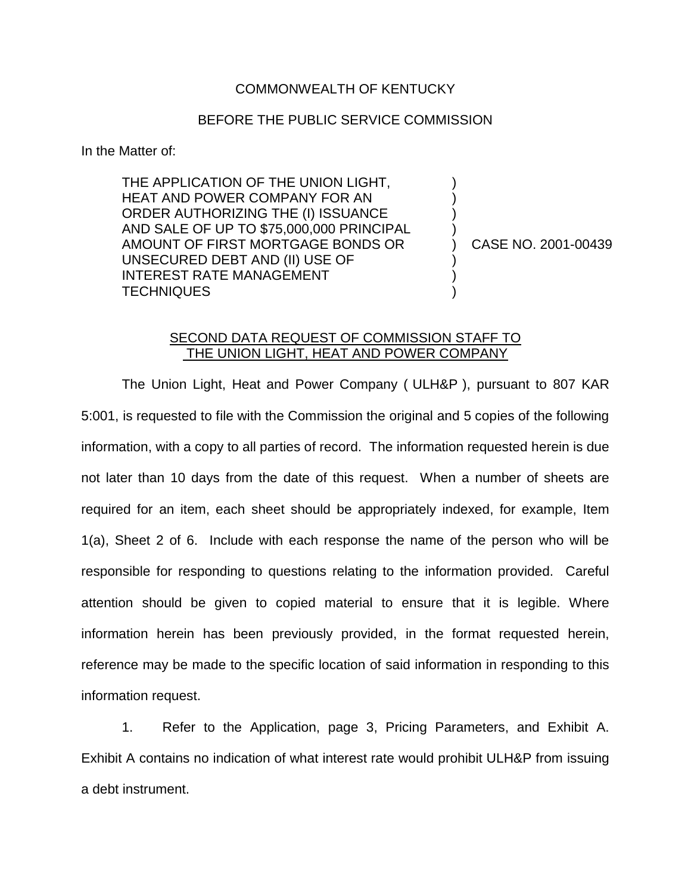## COMMONWEALTH OF KENTUCKY

## BEFORE THE PUBLIC SERVICE COMMISSION

In the Matter of:

THE APPLICATION OF THE UNION LIGHT, HEAT AND POWER COMPANY FOR AN ORDER AUTHORIZING THE (I) ISSUANCE AND SALE OF UP TO \$75,000,000 PRINCIPAL AMOUNT OF FIRST MORTGAGE BONDS OR UNSECURED DEBT AND (II) USE OF INTEREST RATE MANAGEMENT **TECHNIQUES** 

) CASE NO. 2001-00439

) ) ) )

) ) )

## SECOND DATA REQUEST OF COMMISSION STAFF TO THE UNION LIGHT, HEAT AND POWER COMPANY

The Union Light, Heat and Power Company ( ULH&P ), pursuant to 807 KAR 5:001, is requested to file with the Commission the original and 5 copies of the following information, with a copy to all parties of record. The information requested herein is due not later than 10 days from the date of this request. When a number of sheets are required for an item, each sheet should be appropriately indexed, for example, Item 1(a), Sheet 2 of 6. Include with each response the name of the person who will be responsible for responding to questions relating to the information provided. Careful attention should be given to copied material to ensure that it is legible. Where information herein has been previously provided, in the format requested herein, reference may be made to the specific location of said information in responding to this information request.

1. Refer to the Application, page 3, Pricing Parameters, and Exhibit A. Exhibit A contains no indication of what interest rate would prohibit ULH&P from issuing a debt instrument.